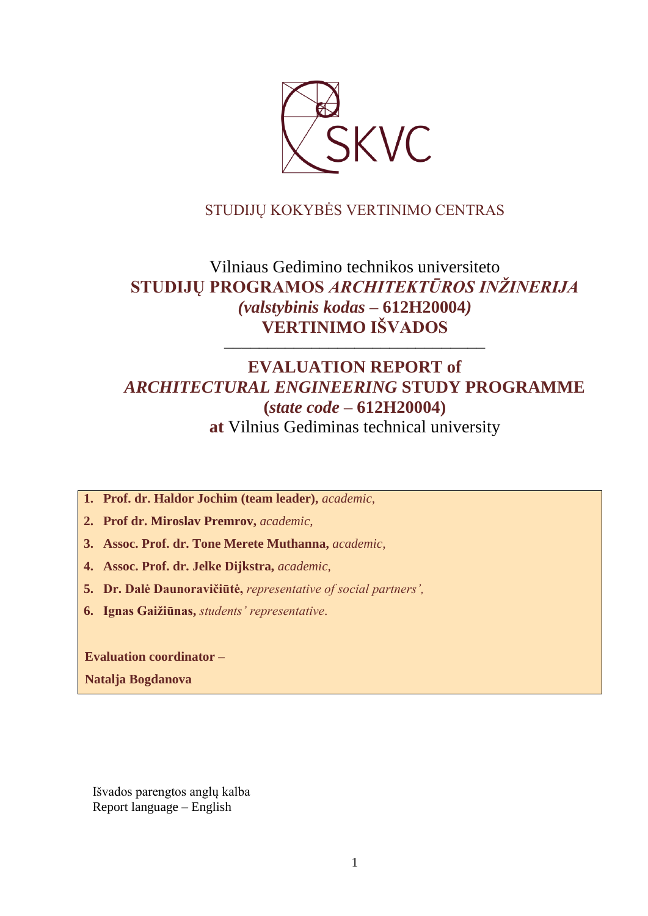

# STUDIJŲ KOKYBĖS VERTINIMO CENTRAS

# Vilniaus Gedimino technikos universiteto **STUDIJŲ PROGRAMOS** *ARCHITEKTŪROS INŽINERIJA (valstybinis kodas –* **612H20004***)* **VERTINIMO IŠVADOS**

––––––––––––––––––––––––––––––

# **EVALUATION REPORT of** *ARCHITECTURAL ENGINEERING* **STUDY PROGRAMME (***state code –* **612H20004) at** Vilnius Gediminas technical university

**1. Prof. dr. Haldor Jochim (team leader),** *academic,*

**2. Prof dr. Miroslav Premrov,** *academic,*

**3. Assoc. Prof. dr. Tone Merete Muthanna,** *academic,*

**4. Assoc. Prof. dr. Jelke Dijkstra,** *academic,*

**5. Dr. Dalė Daunoravičiūtė,** *representative of social partners',*

**6. Ignas Gaižiūnas,** *students' representative*.

**Evaluation coordinator –**

**Natalja Bogdanova**

Išvados parengtos anglų kalba Report language – English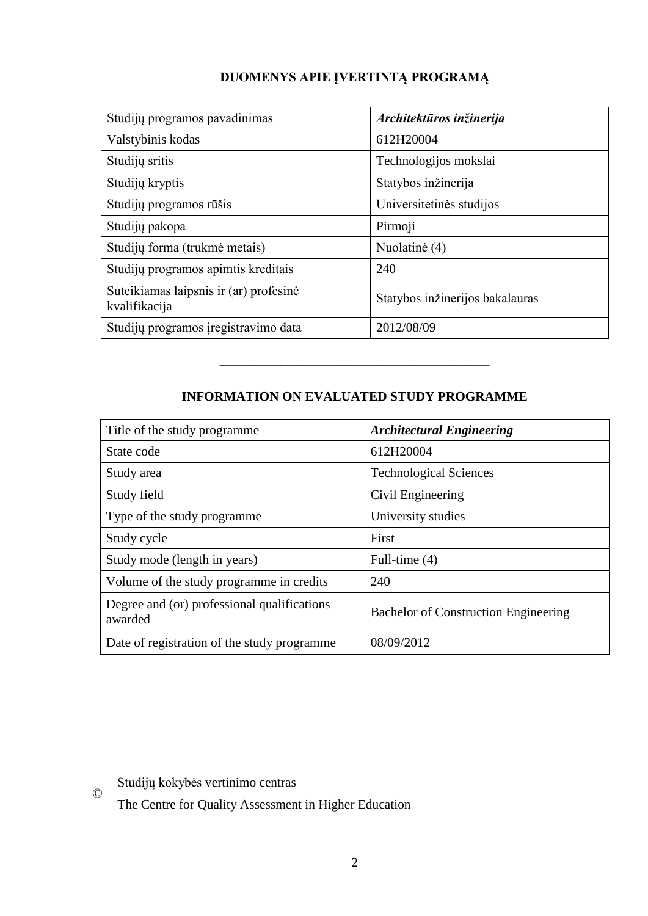# **DUOMENYS APIE ĮVERTINTĄ PROGRAMĄ**

| Studijų programos pavadinimas                           | Architektūros inžinerija        |
|---------------------------------------------------------|---------------------------------|
| Valstybinis kodas                                       | 612H20004                       |
| Studijų sritis                                          | Technologijos mokslai           |
| Studijų kryptis                                         | Statybos inžinerija             |
| Studijų programos rūšis                                 | Universitetinės studijos        |
| Studijų pakopa                                          | Pirmoji                         |
| Studijų forma (trukmė metais)                           | Nuolatinė (4)                   |
| Studijų programos apimtis kreditais                     | 240                             |
| Suteikiamas laipsnis ir (ar) profesinė<br>kvalifikacija | Statybos inžinerijos bakalauras |
| Studijų programos įregistravimo data                    | 2012/08/09                      |

# **INFORMATION ON EVALUATED STUDY PROGRAMME**

–––––––––––––––––––––––––––––––

| Title of the study programme.                          | <b>Architectural Engineering</b>            |
|--------------------------------------------------------|---------------------------------------------|
| State code                                             | 612H20004                                   |
| Study area                                             | <b>Technological Sciences</b>               |
| Study field                                            | Civil Engineering                           |
| Type of the study programme                            | University studies                          |
| Study cycle                                            | First                                       |
| Study mode (length in years)                           | Full-time (4)                               |
| Volume of the study programme in credits               | 240                                         |
| Degree and (or) professional qualifications<br>awarded | <b>Bachelor of Construction Engineering</b> |
| Date of registration of the study programme            | 08/09/2012                                  |

Studijų kokybės vertinimo centras

©

The Centre for Quality Assessment in Higher Education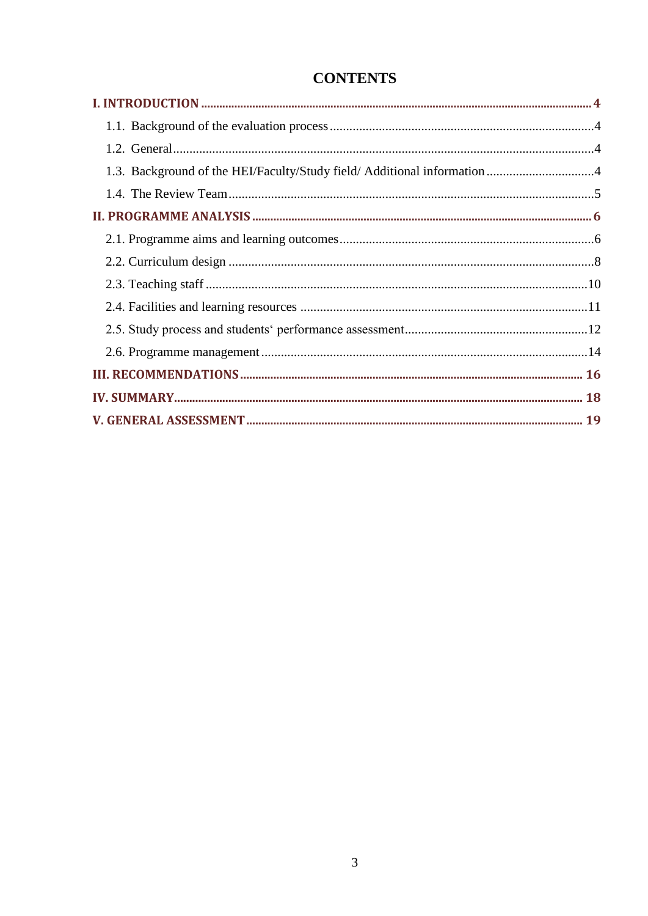# **CONTENTS**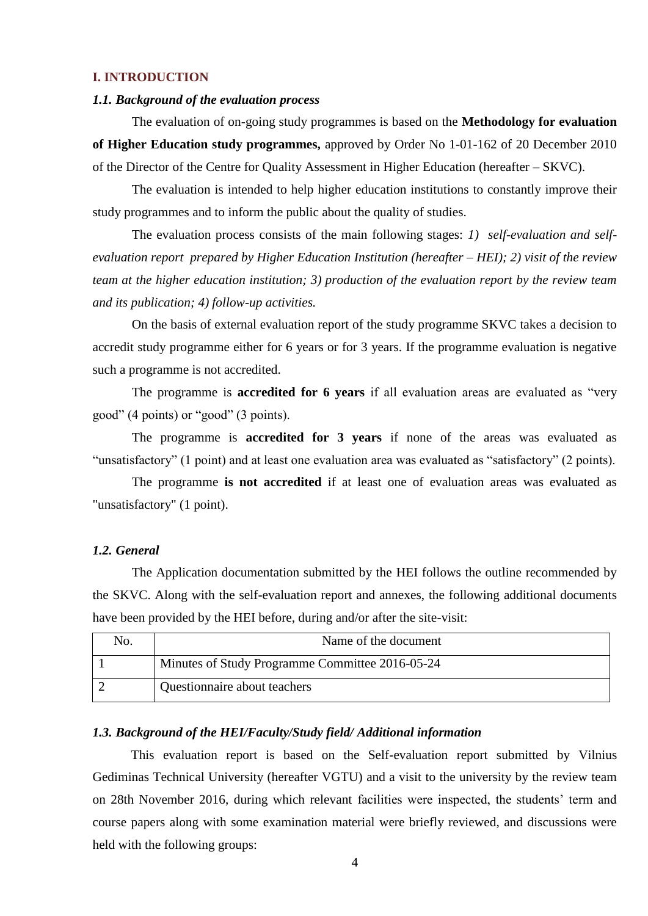### <span id="page-3-0"></span>**I. INTRODUCTION**

#### <span id="page-3-1"></span>*1.1. Background of the evaluation process*

The evaluation of on-going study programmes is based on the **Methodology for evaluation of Higher Education study programmes,** approved by Order No 1-01-162 of 20 December 2010 of the Director of the Centre for Quality Assessment in Higher Education (hereafter – SKVC).

The evaluation is intended to help higher education institutions to constantly improve their study programmes and to inform the public about the quality of studies.

The evaluation process consists of the main following stages: *1) self-evaluation and selfevaluation report prepared by Higher Education Institution (hereafter – HEI); 2) visit of the review team at the higher education institution; 3) production of the evaluation report by the review team and its publication; 4) follow-up activities.* 

On the basis of external evaluation report of the study programme SKVC takes a decision to accredit study programme either for 6 years or for 3 years. If the programme evaluation is negative such a programme is not accredited.

The programme is **accredited for 6 years** if all evaluation areas are evaluated as "very good" (4 points) or "good" (3 points).

The programme is **accredited for 3 years** if none of the areas was evaluated as "unsatisfactory" (1 point) and at least one evaluation area was evaluated as "satisfactory" (2 points).

The programme **is not accredited** if at least one of evaluation areas was evaluated as "unsatisfactory" (1 point).

#### <span id="page-3-2"></span>*1.2. General*

The Application documentation submitted by the HEI follows the outline recommended by the SKVC. Along with the self-evaluation report and annexes, the following additional documents have been provided by the HEI before, during and/or after the site-visit:

| No. | Name of the document                            |
|-----|-------------------------------------------------|
|     | Minutes of Study Programme Committee 2016-05-24 |
|     | Questionnaire about teachers                    |

#### <span id="page-3-3"></span>*1.3. Background of the HEI/Faculty/Study field/ Additional information*

This evaluation report is based on the Self-evaluation report submitted by Vilnius Gediminas Technical University (hereafter VGTU) and a visit to the university by the review team on 28th November 2016, during which relevant facilities were inspected, the students' term and course papers along with some examination material were briefly reviewed, and discussions were held with the following groups: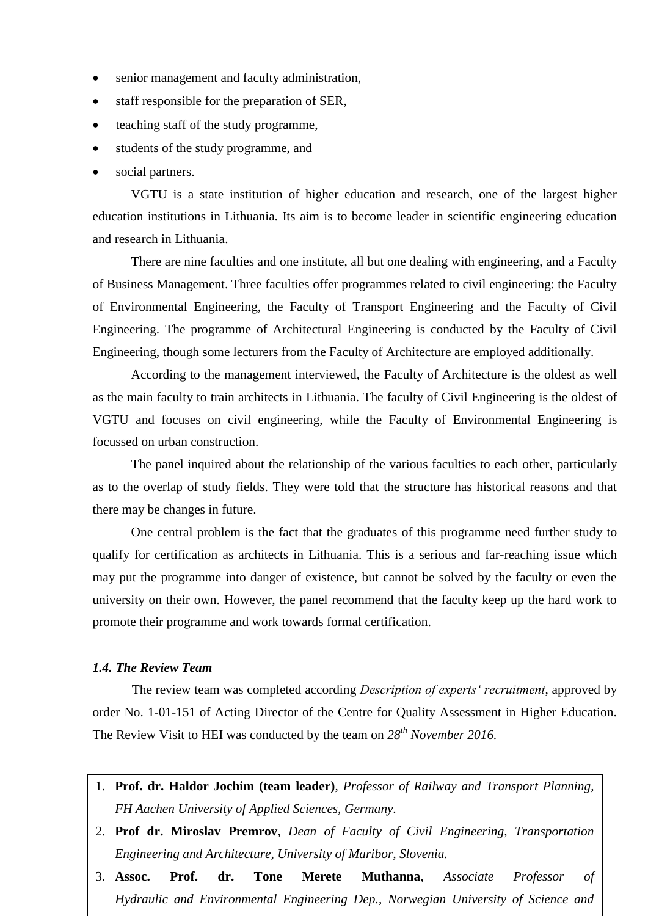- senior management and faculty administration,
- staff responsible for the preparation of SER,
- teaching staff of the study programme,
- students of the study programme, and
- social partners.

VGTU is a state institution of higher education and research, one of the largest higher education institutions in Lithuania. Its aim is to become leader in scientific engineering education and research in Lithuania.

There are nine faculties and one institute, all but one dealing with engineering, and a Faculty of Business Management. Three faculties offer programmes related to civil engineering: the Faculty of Environmental Engineering, the Faculty of Transport Engineering and the Faculty of Civil Engineering. The programme of Architectural Engineering is conducted by the Faculty of Civil Engineering, though some lecturers from the Faculty of Architecture are employed additionally.

According to the management interviewed, the Faculty of Architecture is the oldest as well as the main faculty to train architects in Lithuania. The faculty of Civil Engineering is the oldest of VGTU and focuses on civil engineering, while the Faculty of Environmental Engineering is focussed on urban construction.

The panel inquired about the relationship of the various faculties to each other, particularly as to the overlap of study fields. They were told that the structure has historical reasons and that there may be changes in future.

One central problem is the fact that the graduates of this programme need further study to qualify for certification as architects in Lithuania. This is a serious and far-reaching issue which may put the programme into danger of existence, but cannot be solved by the faculty or even the university on their own. However, the panel recommend that the faculty keep up the hard work to promote their programme and work towards formal certification.

#### <span id="page-4-0"></span>*1.4. The Review Team*

The review team was completed according *Description of experts' recruitment*, approved by order No. 1-01-151 of Acting Director of the Centre for Quality Assessment in Higher Education. The Review Visit to HEI was conducted by the team on *28th November 2016.*

- 1. **Prof. dr. Haldor Jochim (team leader)**, *Professor of Railway and Transport Planning, FH Aachen University of Applied Sciences, Germany.*
- $\ddot{\phantom{0}}$ 2. **Prof dr. Miroslav Premrov**, *Dean of Faculty of Civil Engineering, Transportation Engineering and Architecture, University of Maribor, Slovenia.*
- 3. **Assoc. Prof. dr. Tone Merete Muthanna**, *Associate Professor of Hydraulic and Environmental Engineering Dep., Norwegian University of Science and*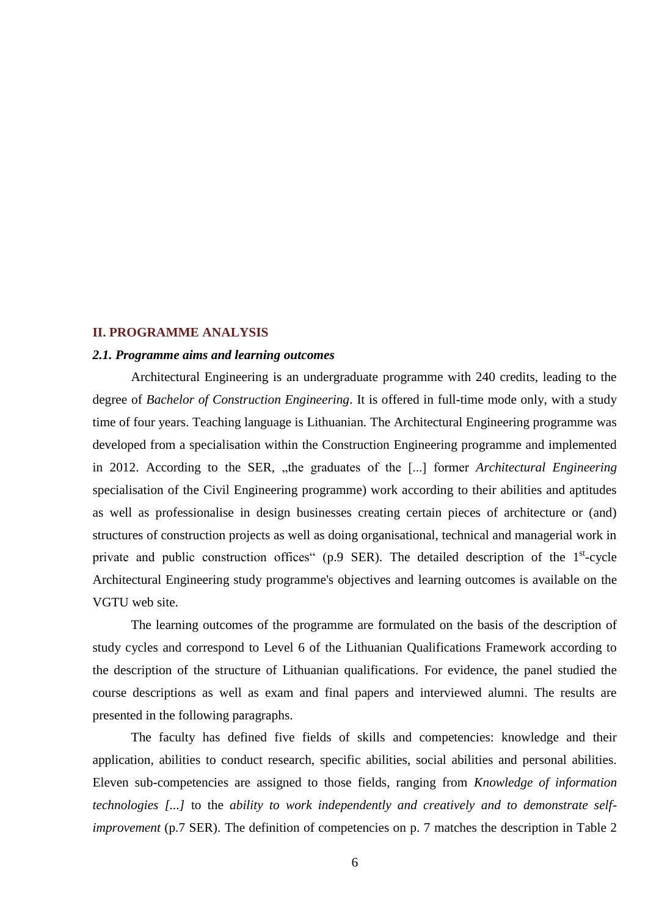#### <span id="page-5-0"></span>**II. PROGRAMME ANALYSIS**

#### <span id="page-5-1"></span>*2.1. Programme aims and learning outcomes*

Architectural Engineering is an undergraduate programme with 240 credits, leading to the degree of *Bachelor of Construction Engineering*. It is offered in full-time mode only, with a study time of four years. Teaching language is Lithuanian. The Architectural Engineering programme was developed from a specialisation within the Construction Engineering programme and implemented in 2012. According to the SER, "the graduates of the [...] former *Architectural Engineering* specialisation of the Civil Engineering programme) work according to their abilities and aptitudes as well as professionalise in design businesses creating certain pieces of architecture or (and) structures of construction projects as well as doing organisational, technical and managerial work in private and public construction offices" (p.9 SER). The detailed description of the 1<sup>st</sup>-cycle Architectural Engineering study programme's objectives and learning outcomes is available on the VGTU web site.

The learning outcomes of the programme are formulated on the basis of the description of study cycles and correspond to Level 6 of the Lithuanian Qualifications Framework according to the description of the structure of Lithuanian qualifications. For evidence, the panel studied the course descriptions as well as exam and final papers and interviewed alumni. The results are presented in the following paragraphs.

The faculty has defined five fields of skills and competencies: knowledge and their application, abilities to conduct research, specific abilities, social abilities and personal abilities. Eleven sub-competencies are assigned to those fields, ranging from *Knowledge of information technologies [...]* to the *ability to work independently and creatively and to demonstrate selfimprovement* (p.7 SER). The definition of competencies on p. 7 matches the description in Table 2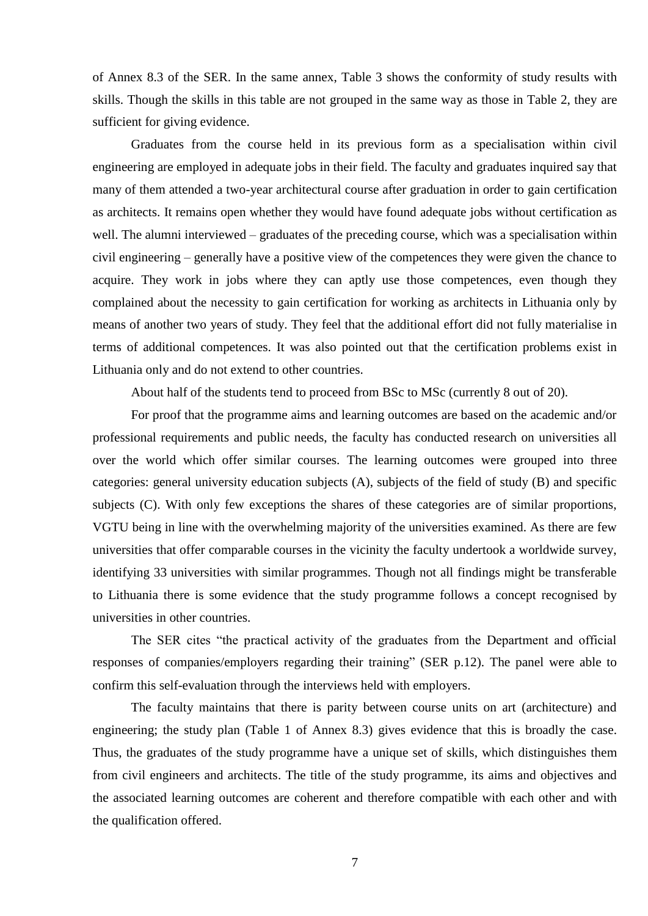of Annex 8.3 of the SER. In the same annex, Table 3 shows the conformity of study results with skills. Though the skills in this table are not grouped in the same way as those in Table 2, they are sufficient for giving evidence.

Graduates from the course held in its previous form as a specialisation within civil engineering are employed in adequate jobs in their field. The faculty and graduates inquired say that many of them attended a two-year architectural course after graduation in order to gain certification as architects. It remains open whether they would have found adequate jobs without certification as well. The alumni interviewed – graduates of the preceding course, which was a specialisation within civil engineering – generally have a positive view of the competences they were given the chance to acquire. They work in jobs where they can aptly use those competences, even though they complained about the necessity to gain certification for working as architects in Lithuania only by means of another two years of study. They feel that the additional effort did not fully materialise in terms of additional competences. It was also pointed out that the certification problems exist in Lithuania only and do not extend to other countries.

About half of the students tend to proceed from BSc to MSc (currently 8 out of 20).

For proof that the programme aims and learning outcomes are based on the academic and/or professional requirements and public needs, the faculty has conducted research on universities all over the world which offer similar courses. The learning outcomes were grouped into three categories: general university education subjects (A), subjects of the field of study (B) and specific subjects (C). With only few exceptions the shares of these categories are of similar proportions, VGTU being in line with the overwhelming majority of the universities examined. As there are few universities that offer comparable courses in the vicinity the faculty undertook a worldwide survey, identifying 33 universities with similar programmes. Though not all findings might be transferable to Lithuania there is some evidence that the study programme follows a concept recognised by universities in other countries.

The SER cites "the practical activity of the graduates from the Department and official responses of companies/employers regarding their training" (SER p.12). The panel were able to confirm this self-evaluation through the interviews held with employers.

The faculty maintains that there is parity between course units on art (architecture) and engineering; the study plan (Table 1 of Annex 8.3) gives evidence that this is broadly the case. Thus, the graduates of the study programme have a unique set of skills, which distinguishes them from civil engineers and architects. The title of the study programme, its aims and objectives and the associated learning outcomes are coherent and therefore compatible with each other and with the qualification offered.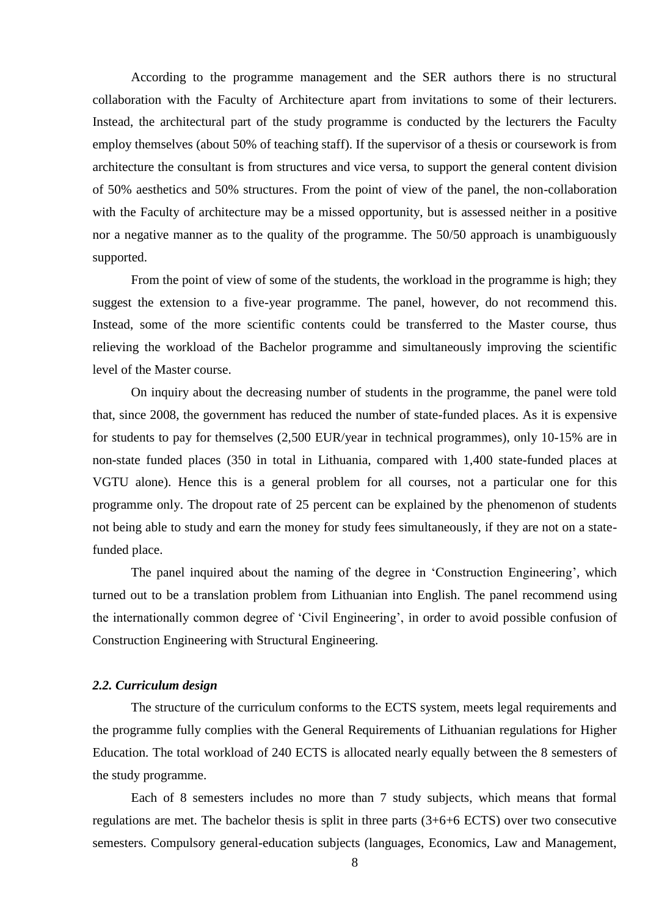According to the programme management and the SER authors there is no structural collaboration with the Faculty of Architecture apart from invitations to some of their lecturers. Instead, the architectural part of the study programme is conducted by the lecturers the Faculty employ themselves (about 50% of teaching staff). If the supervisor of a thesis or coursework is from architecture the consultant is from structures and vice versa, to support the general content division of 50% aesthetics and 50% structures. From the point of view of the panel, the non-collaboration with the Faculty of architecture may be a missed opportunity, but is assessed neither in a positive nor a negative manner as to the quality of the programme. The 50/50 approach is unambiguously supported.

From the point of view of some of the students, the workload in the programme is high; they suggest the extension to a five-year programme. The panel, however, do not recommend this. Instead, some of the more scientific contents could be transferred to the Master course, thus relieving the workload of the Bachelor programme and simultaneously improving the scientific level of the Master course.

On inquiry about the decreasing number of students in the programme, the panel were told that, since 2008, the government has reduced the number of state-funded places. As it is expensive for students to pay for themselves (2,500 EUR/year in technical programmes), only 10-15% are in non-state funded places (350 in total in Lithuania, compared with 1,400 state-funded places at VGTU alone). Hence this is a general problem for all courses, not a particular one for this programme only. The dropout rate of 25 percent can be explained by the phenomenon of students not being able to study and earn the money for study fees simultaneously, if they are not on a statefunded place.

The panel inquired about the naming of the degree in 'Construction Engineering', which turned out to be a translation problem from Lithuanian into English. The panel recommend using the internationally common degree of 'Civil Engineering', in order to avoid possible confusion of Construction Engineering with Structural Engineering.

#### <span id="page-7-0"></span>*2.2. Curriculum design*

The structure of the curriculum conforms to the ECTS system, meets legal requirements and the programme fully complies with the General Requirements of Lithuanian regulations for Higher Education. The total workload of 240 ECTS is allocated nearly equally between the 8 semesters of the study programme.

Each of 8 semesters includes no more than 7 study subjects, which means that formal regulations are met. The bachelor thesis is split in three parts (3+6+6 ECTS) over two consecutive semesters. Compulsory general-education subjects (languages, Economics, Law and Management,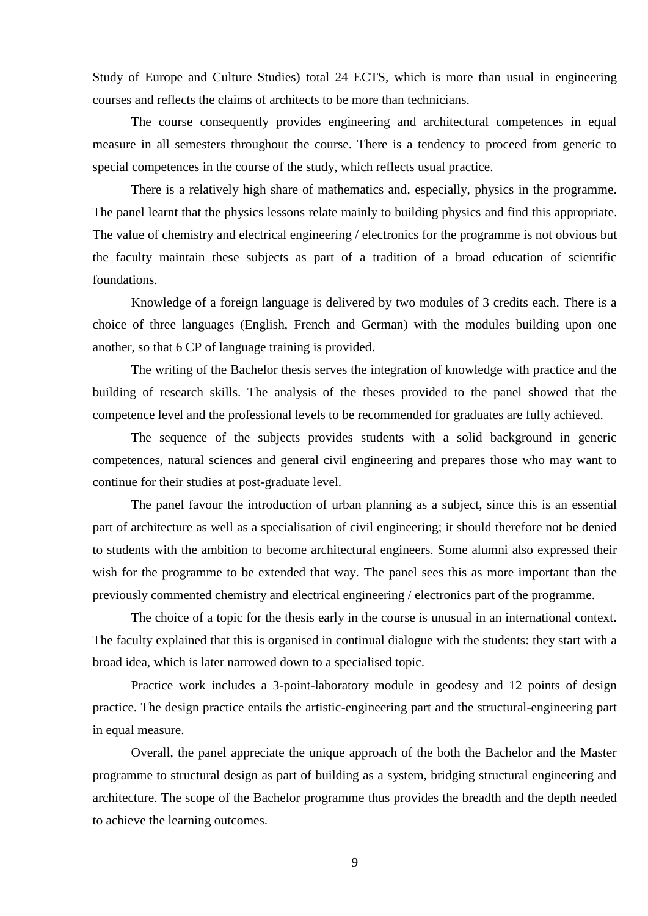Study of Europe and Culture Studies) total 24 ECTS, which is more than usual in engineering courses and reflects the claims of architects to be more than technicians.

The course consequently provides engineering and architectural competences in equal measure in all semesters throughout the course. There is a tendency to proceed from generic to special competences in the course of the study, which reflects usual practice.

There is a relatively high share of mathematics and, especially, physics in the programme. The panel learnt that the physics lessons relate mainly to building physics and find this appropriate. The value of chemistry and electrical engineering / electronics for the programme is not obvious but the faculty maintain these subjects as part of a tradition of a broad education of scientific foundations.

Knowledge of a foreign language is delivered by two modules of 3 credits each. There is a choice of three languages (English, French and German) with the modules building upon one another, so that 6 CP of language training is provided.

The writing of the Bachelor thesis serves the integration of knowledge with practice and the building of research skills. The analysis of the theses provided to the panel showed that the competence level and the professional levels to be recommended for graduates are fully achieved.

The sequence of the subjects provides students with a solid background in generic competences, natural sciences and general civil engineering and prepares those who may want to continue for their studies at post-graduate level.

The panel favour the introduction of urban planning as a subject, since this is an essential part of architecture as well as a specialisation of civil engineering; it should therefore not be denied to students with the ambition to become architectural engineers. Some alumni also expressed their wish for the programme to be extended that way. The panel sees this as more important than the previously commented chemistry and electrical engineering / electronics part of the programme.

The choice of a topic for the thesis early in the course is unusual in an international context. The faculty explained that this is organised in continual dialogue with the students: they start with a broad idea, which is later narrowed down to a specialised topic.

Practice work includes a 3-point-laboratory module in geodesy and 12 points of design practice. The design practice entails the artistic-engineering part and the structural-engineering part in equal measure.

Overall, the panel appreciate the unique approach of the both the Bachelor and the Master programme to structural design as part of building as a system, bridging structural engineering and architecture. The scope of the Bachelor programme thus provides the breadth and the depth needed to achieve the learning outcomes.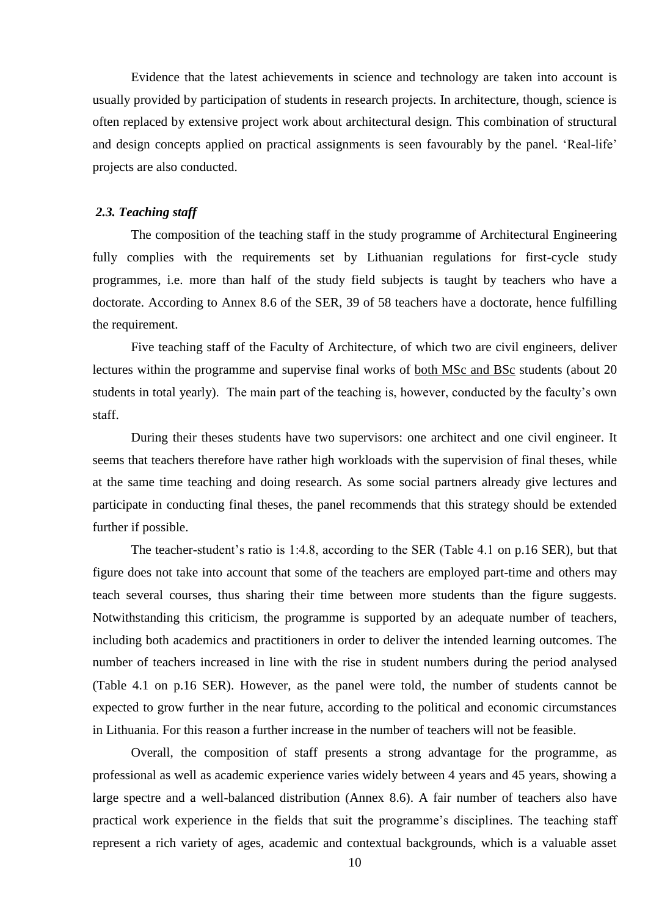Evidence that the latest achievements in science and technology are taken into account is usually provided by participation of students in research projects. In architecture, though, science is often replaced by extensive project work about architectural design. This combination of structural and design concepts applied on practical assignments is seen favourably by the panel. 'Real-life' projects are also conducted.

#### <span id="page-9-0"></span>*2.3. Teaching staff*

The composition of the teaching staff in the study programme of Architectural Engineering fully complies with the requirements set by Lithuanian regulations for first-cycle study programmes, i.e. more than half of the study field subjects is taught by teachers who have a doctorate. According to Annex 8.6 of the SER, 39 of 58 teachers have a doctorate, hence fulfilling the requirement.

Five teaching staff of the Faculty of Architecture, of which two are civil engineers, deliver lectures within the programme and supervise final works of both MSc and BSc students (about 20 students in total yearly). The main part of the teaching is, however, conducted by the faculty's own staff.

During their theses students have two supervisors: one architect and one civil engineer. It seems that teachers therefore have rather high workloads with the supervision of final theses, while at the same time teaching and doing research. As some social partners already give lectures and participate in conducting final theses, the panel recommends that this strategy should be extended further if possible.

The teacher-student's ratio is 1:4.8, according to the SER (Table 4.1 on p.16 SER), but that figure does not take into account that some of the teachers are employed part-time and others may teach several courses, thus sharing their time between more students than the figure suggests. Notwithstanding this criticism, the programme is supported by an adequate number of teachers, including both academics and practitioners in order to deliver the intended learning outcomes. The number of teachers increased in line with the rise in student numbers during the period analysed (Table 4.1 on p.16 SER). However, as the panel were told, the number of students cannot be expected to grow further in the near future, according to the political and economic circumstances in Lithuania. For this reason a further increase in the number of teachers will not be feasible.

Overall, the composition of staff presents a strong advantage for the programme, as professional as well as academic experience varies widely between 4 years and 45 years, showing a large spectre and a well-balanced distribution (Annex 8.6). A fair number of teachers also have practical work experience in the fields that suit the programme's disciplines. The teaching staff represent a rich variety of ages, academic and contextual backgrounds, which is a valuable asset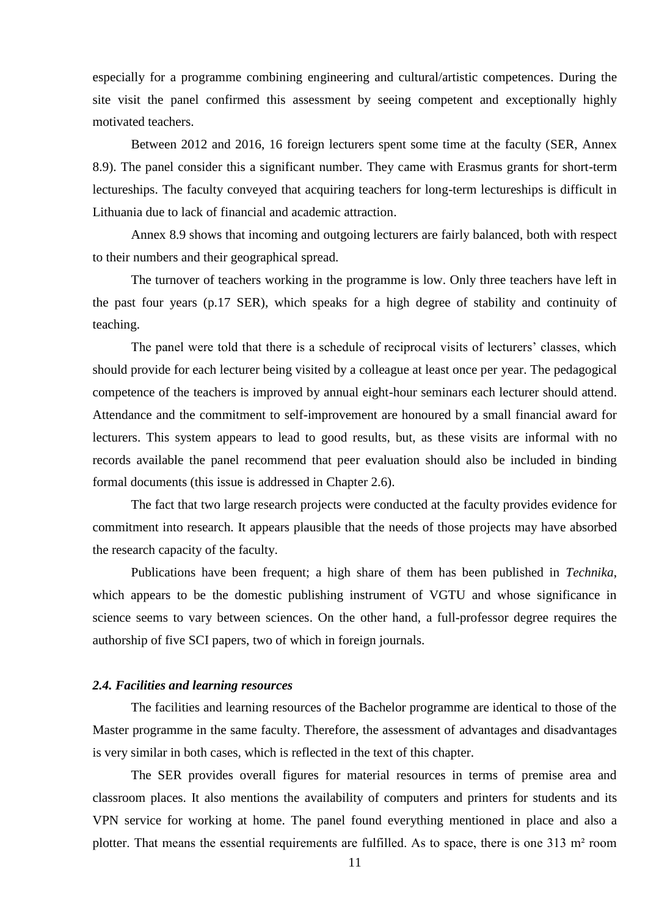especially for a programme combining engineering and cultural/artistic competences. During the site visit the panel confirmed this assessment by seeing competent and exceptionally highly motivated teachers.

Between 2012 and 2016, 16 foreign lecturers spent some time at the faculty (SER, Annex 8.9). The panel consider this a significant number. They came with Erasmus grants for short-term lectureships. The faculty conveyed that acquiring teachers for long-term lectureships is difficult in Lithuania due to lack of financial and academic attraction.

Annex 8.9 shows that incoming and outgoing lecturers are fairly balanced, both with respect to their numbers and their geographical spread.

The turnover of teachers working in the programme is low. Only three teachers have left in the past four years (p.17 SER), which speaks for a high degree of stability and continuity of teaching.

The panel were told that there is a schedule of reciprocal visits of lecturers' classes, which should provide for each lecturer being visited by a colleague at least once per year. The pedagogical competence of the teachers is improved by annual eight-hour seminars each lecturer should attend. Attendance and the commitment to self-improvement are honoured by a small financial award for lecturers. This system appears to lead to good results, but, as these visits are informal with no records available the panel recommend that peer evaluation should also be included in binding formal documents (this issue is addressed in Chapter 2.6).

The fact that two large research projects were conducted at the faculty provides evidence for commitment into research. It appears plausible that the needs of those projects may have absorbed the research capacity of the faculty.

Publications have been frequent; a high share of them has been published in *Technika*, which appears to be the domestic publishing instrument of VGTU and whose significance in science seems to vary between sciences. On the other hand, a full-professor degree requires the authorship of five SCI papers, two of which in foreign journals.

#### <span id="page-10-0"></span>*2.4. Facilities and learning resources*

The facilities and learning resources of the Bachelor programme are identical to those of the Master programme in the same faculty. Therefore, the assessment of advantages and disadvantages is very similar in both cases, which is reflected in the text of this chapter.

The SER provides overall figures for material resources in terms of premise area and classroom places. It also mentions the availability of computers and printers for students and its VPN service for working at home. The panel found everything mentioned in place and also a plotter. That means the essential requirements are fulfilled. As to space, there is one 313 m² room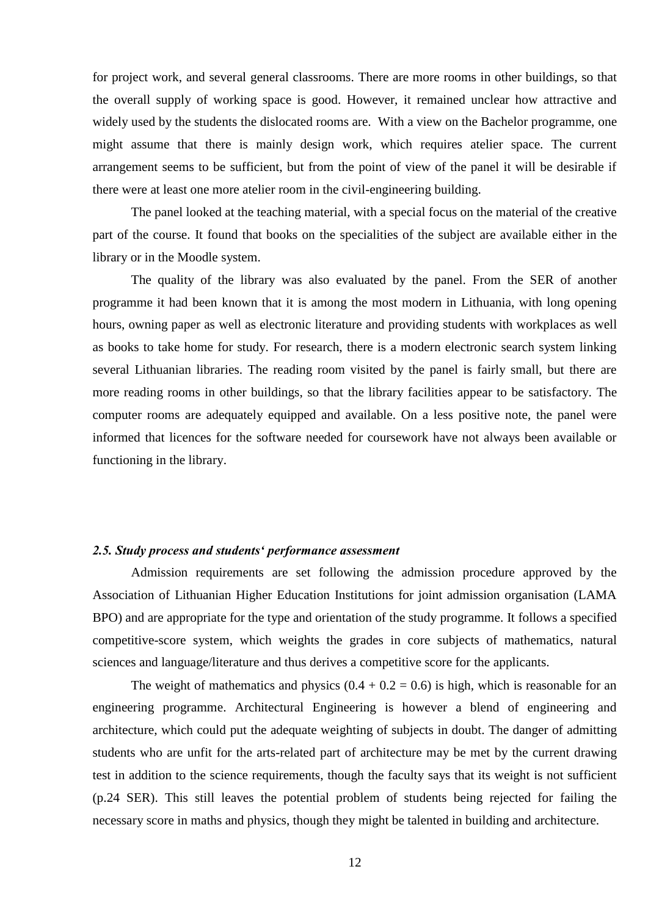for project work, and several general classrooms. There are more rooms in other buildings, so that the overall supply of working space is good. However, it remained unclear how attractive and widely used by the students the dislocated rooms are. With a view on the Bachelor programme, one might assume that there is mainly design work, which requires atelier space. The current arrangement seems to be sufficient, but from the point of view of the panel it will be desirable if there were at least one more atelier room in the civil-engineering building.

The panel looked at the teaching material, with a special focus on the material of the creative part of the course. It found that books on the specialities of the subject are available either in the library or in the Moodle system.

The quality of the library was also evaluated by the panel. From the SER of another programme it had been known that it is among the most modern in Lithuania, with long opening hours, owning paper as well as electronic literature and providing students with workplaces as well as books to take home for study. For research, there is a modern electronic search system linking several Lithuanian libraries. The reading room visited by the panel is fairly small, but there are more reading rooms in other buildings, so that the library facilities appear to be satisfactory. The computer rooms are adequately equipped and available. On a less positive note, the panel were informed that licences for the software needed for coursework have not always been available or functioning in the library.

#### <span id="page-11-0"></span>*2.5. Study process and students' performance assessment*

Admission requirements are set following the admission procedure approved by the Association of Lithuanian Higher Education Institutions for joint admission organisation (LAMA BPO) and are appropriate for the type and orientation of the study programme. It follows a specified competitive-score system, which weights the grades in core subjects of mathematics, natural sciences and language/literature and thus derives a competitive score for the applicants.

The weight of mathematics and physics  $(0.4 + 0.2 = 0.6)$  is high, which is reasonable for an engineering programme. Architectural Engineering is however a blend of engineering and architecture, which could put the adequate weighting of subjects in doubt. The danger of admitting students who are unfit for the arts-related part of architecture may be met by the current drawing test in addition to the science requirements, though the faculty says that its weight is not sufficient (p.24 SER). This still leaves the potential problem of students being rejected for failing the necessary score in maths and physics, though they might be talented in building and architecture.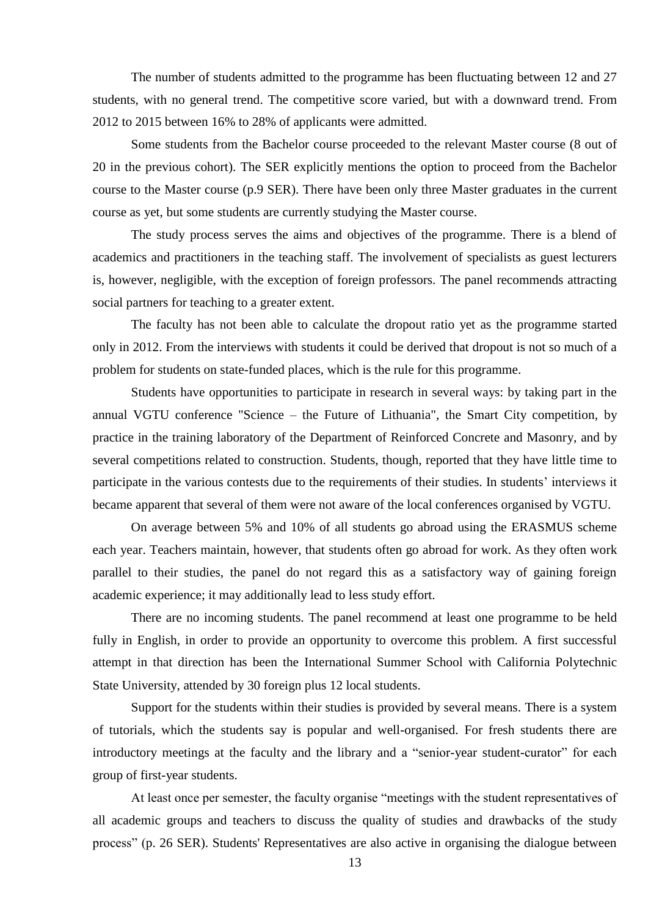The number of students admitted to the programme has been fluctuating between 12 and 27 students, with no general trend. The competitive score varied, but with a downward trend. From 2012 to 2015 between 16% to 28% of applicants were admitted.

Some students from the Bachelor course proceeded to the relevant Master course (8 out of 20 in the previous cohort). The SER explicitly mentions the option to proceed from the Bachelor course to the Master course (p.9 SER). There have been only three Master graduates in the current course as yet, but some students are currently studying the Master course.

The study process serves the aims and objectives of the programme. There is a blend of academics and practitioners in the teaching staff. The involvement of specialists as guest lecturers is, however, negligible, with the exception of foreign professors. The panel recommends attracting social partners for teaching to a greater extent.

The faculty has not been able to calculate the dropout ratio yet as the programme started only in 2012. From the interviews with students it could be derived that dropout is not so much of a problem for students on state-funded places, which is the rule for this programme.

Students have opportunities to participate in research in several ways: by taking part in the annual VGTU conference "Science – the Future of Lithuania", the Smart City competition, by practice in the training laboratory of the Department of Reinforced Concrete and Masonry, and by several competitions related to construction. Students, though, reported that they have little time to participate in the various contests due to the requirements of their studies. In students' interviews it became apparent that several of them were not aware of the local conferences organised by VGTU.

On average between 5% and 10% of all students go abroad using the ERASMUS scheme each year. Teachers maintain, however, that students often go abroad for work. As they often work parallel to their studies, the panel do not regard this as a satisfactory way of gaining foreign academic experience; it may additionally lead to less study effort.

There are no incoming students. The panel recommend at least one programme to be held fully in English, in order to provide an opportunity to overcome this problem. A first successful attempt in that direction has been the International Summer School with California Polytechnic State University, attended by 30 foreign plus 12 local students.

Support for the students within their studies is provided by several means. There is a system of tutorials, which the students say is popular and well-organised. For fresh students there are introductory meetings at the faculty and the library and a "senior-year student-curator" for each group of first-year students.

At least once per semester, the faculty organise "meetings with the student representatives of all academic groups and teachers to discuss the quality of studies and drawbacks of the study process" (p. 26 SER). Students' Representatives are also active in organising the dialogue between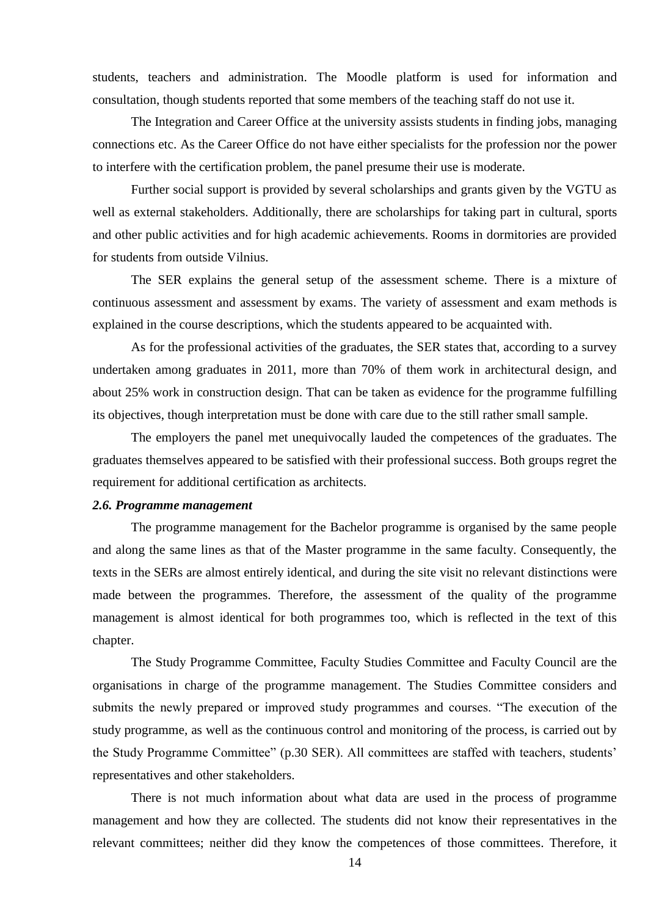students, teachers and administration. The Moodle platform is used for information and consultation, though students reported that some members of the teaching staff do not use it.

The Integration and Career Office at the university assists students in finding jobs, managing connections etc. As the Career Office do not have either specialists for the profession nor the power to interfere with the certification problem, the panel presume their use is moderate.

Further social support is provided by several scholarships and grants given by the VGTU as well as external stakeholders. Additionally, there are scholarships for taking part in cultural, sports and other public activities and for high academic achievements. Rooms in dormitories are provided for students from outside Vilnius.

The SER explains the general setup of the assessment scheme. There is a mixture of continuous assessment and assessment by exams. The variety of assessment and exam methods is explained in the course descriptions, which the students appeared to be acquainted with.

As for the professional activities of the graduates, the SER states that, according to a survey undertaken among graduates in 2011, more than 70% of them work in architectural design, and about 25% work in construction design. That can be taken as evidence for the programme fulfilling its objectives, though interpretation must be done with care due to the still rather small sample.

The employers the panel met unequivocally lauded the competences of the graduates. The graduates themselves appeared to be satisfied with their professional success. Both groups regret the requirement for additional certification as architects.

#### <span id="page-13-0"></span>*2.6. Programme management*

The programme management for the Bachelor programme is organised by the same people and along the same lines as that of the Master programme in the same faculty. Consequently, the texts in the SERs are almost entirely identical, and during the site visit no relevant distinctions were made between the programmes. Therefore, the assessment of the quality of the programme management is almost identical for both programmes too, which is reflected in the text of this chapter.

The Study Programme Committee, Faculty Studies Committee and Faculty Council are the organisations in charge of the programme management. The Studies Committee considers and submits the newly prepared or improved study programmes and courses. "The execution of the study programme, as well as the continuous control and monitoring of the process, is carried out by the Study Programme Committee" (p.30 SER). All committees are staffed with teachers, students' representatives and other stakeholders.

There is not much information about what data are used in the process of programme management and how they are collected. The students did not know their representatives in the relevant committees; neither did they know the competences of those committees. Therefore, it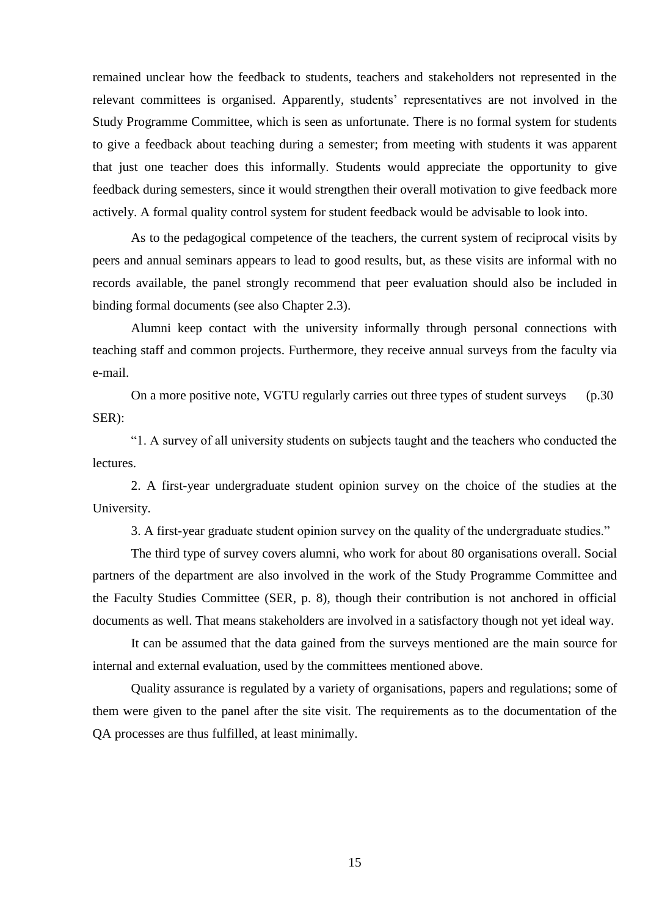remained unclear how the feedback to students, teachers and stakeholders not represented in the relevant committees is organised. Apparently, students' representatives are not involved in the Study Programme Committee, which is seen as unfortunate. There is no formal system for students to give a feedback about teaching during a semester; from meeting with students it was apparent that just one teacher does this informally. Students would appreciate the opportunity to give feedback during semesters, since it would strengthen their overall motivation to give feedback more actively. A formal quality control system for student feedback would be advisable to look into.

As to the pedagogical competence of the teachers, the current system of reciprocal visits by peers and annual seminars appears to lead to good results, but, as these visits are informal with no records available, the panel strongly recommend that peer evaluation should also be included in binding formal documents (see also Chapter 2.3).

Alumni keep contact with the university informally through personal connections with teaching staff and common projects. Furthermore, they receive annual surveys from the faculty via e-mail.

On a more positive note, VGTU regularly carries out three types of student surveys (p.30) SER):

"1. A survey of all university students on subjects taught and the teachers who conducted the lectures.

2. A first-year undergraduate student opinion survey on the choice of the studies at the University.

3. A first-year graduate student opinion survey on the quality of the undergraduate studies."

The third type of survey covers alumni, who work for about 80 organisations overall. Social partners of the department are also involved in the work of the Study Programme Committee and the Faculty Studies Committee (SER, p. 8), though their contribution is not anchored in official documents as well. That means stakeholders are involved in a satisfactory though not yet ideal way.

It can be assumed that the data gained from the surveys mentioned are the main source for internal and external evaluation, used by the committees mentioned above.

Quality assurance is regulated by a variety of organisations, papers and regulations; some of them were given to the panel after the site visit. The requirements as to the documentation of the QA processes are thus fulfilled, at least minimally.

15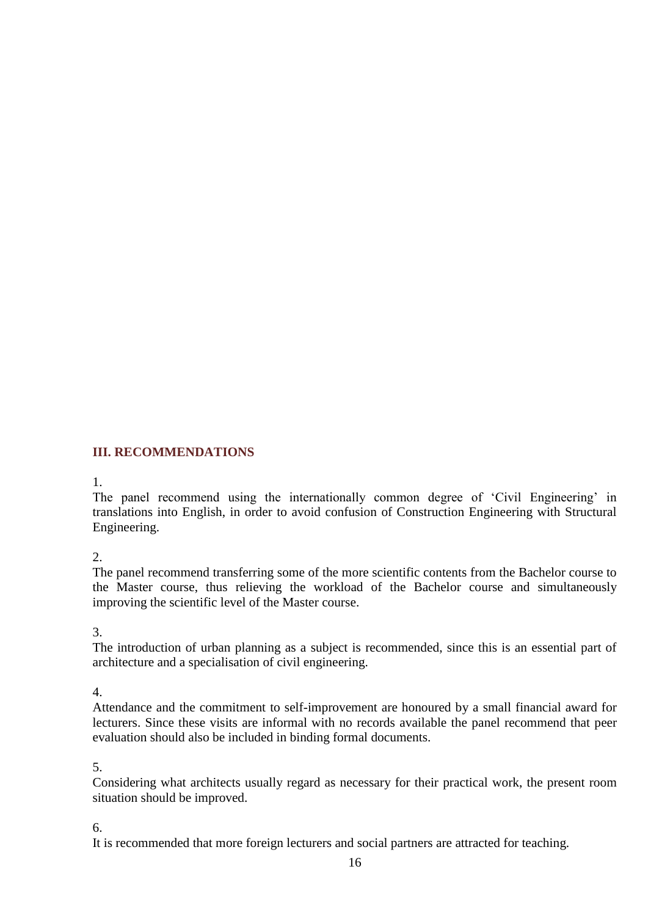# <span id="page-15-0"></span>**III. RECOMMENDATIONS**

### 1.

The panel recommend using the internationally common degree of 'Civil Engineering' in translations into English, in order to avoid confusion of Construction Engineering with Structural Engineering.

2.

The panel recommend transferring some of the more scientific contents from the Bachelor course to the Master course, thus relieving the workload of the Bachelor course and simultaneously improving the scientific level of the Master course.

3.

The introduction of urban planning as a subject is recommended, since this is an essential part of architecture and a specialisation of civil engineering.

4.

Attendance and the commitment to self-improvement are honoured by a small financial award for lecturers. Since these visits are informal with no records available the panel recommend that peer evaluation should also be included in binding formal documents.

5.

Considering what architects usually regard as necessary for their practical work, the present room situation should be improved.

6.

It is recommended that more foreign lecturers and social partners are attracted for teaching.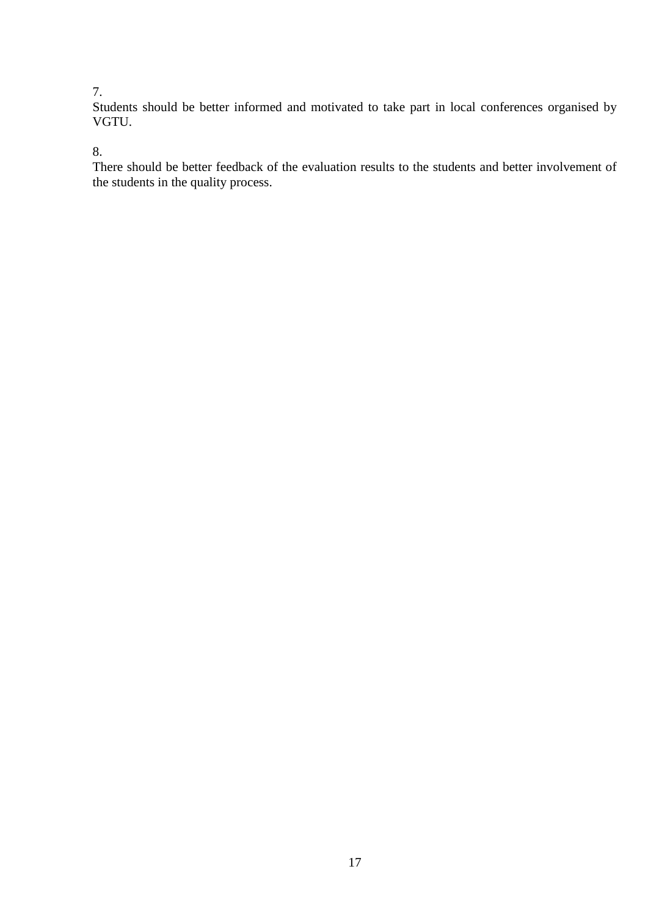## 7.

Students should be better informed and motivated to take part in local conferences organised by VGTU.

## 8.

There should be better feedback of the evaluation results to the students and better involvement of the students in the quality process.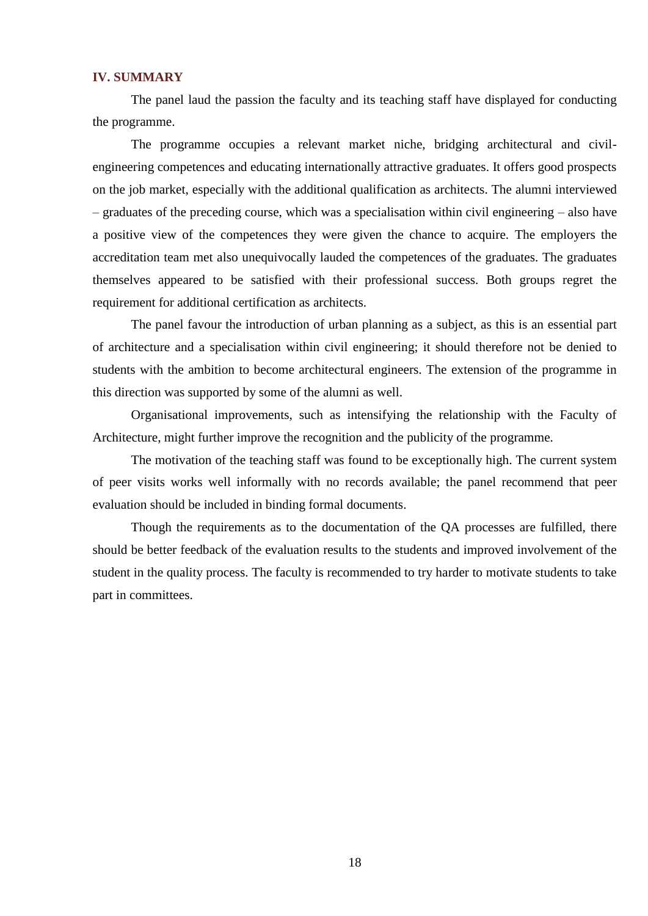### <span id="page-17-0"></span>**IV. SUMMARY**

The panel laud the passion the faculty and its teaching staff have displayed for conducting the programme.

The programme occupies a relevant market niche, bridging architectural and civilengineering competences and educating internationally attractive graduates. It offers good prospects on the job market, especially with the additional qualification as architects. The alumni interviewed – graduates of the preceding course, which was a specialisation within civil engineering – also have a positive view of the competences they were given the chance to acquire. The employers the accreditation team met also unequivocally lauded the competences of the graduates. The graduates themselves appeared to be satisfied with their professional success. Both groups regret the requirement for additional certification as architects.

The panel favour the introduction of urban planning as a subject, as this is an essential part of architecture and a specialisation within civil engineering; it should therefore not be denied to students with the ambition to become architectural engineers. The extension of the programme in this direction was supported by some of the alumni as well.

Organisational improvements, such as intensifying the relationship with the Faculty of Architecture, might further improve the recognition and the publicity of the programme.

The motivation of the teaching staff was found to be exceptionally high. The current system of peer visits works well informally with no records available; the panel recommend that peer evaluation should be included in binding formal documents.

Though the requirements as to the documentation of the QA processes are fulfilled, there should be better feedback of the evaluation results to the students and improved involvement of the student in the quality process. The faculty is recommended to try harder to motivate students to take part in committees.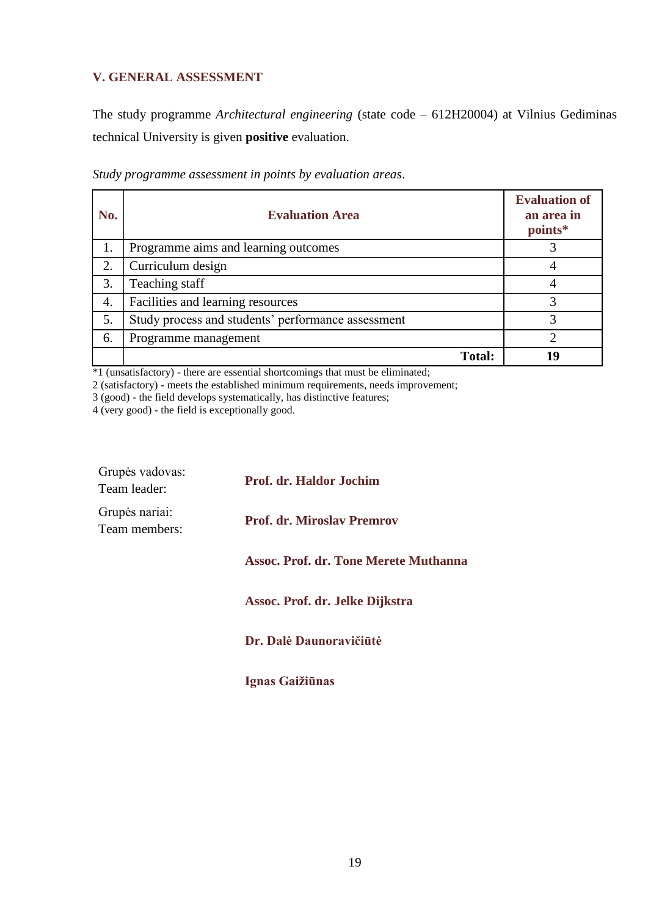## **V. GENERAL ASSESSMENT**

The study programme *Architectural engineering* (state code – 612H20004) at Vilnius Gediminas technical University is given **positive** evaluation.

| No. | <b>Evaluation Area</b>                             | <b>Evaluation of</b><br>an area in<br>points* |
|-----|----------------------------------------------------|-----------------------------------------------|
| 1.  | Programme aims and learning outcomes               |                                               |
| 2.  | Curriculum design                                  | 4                                             |
| 3.  | Teaching staff                                     | 4                                             |
| 4.  | Facilities and learning resources                  |                                               |
| 5.  | Study process and students' performance assessment | 3                                             |
| 6.  | Programme management                               | ∍                                             |
|     | <b>Total:</b>                                      | 19                                            |

*Study programme assessment in points by evaluation areas*.

\*1 (unsatisfactory) - there are essential shortcomings that must be eliminated;

2 (satisfactory) - meets the established minimum requirements, needs improvement;

3 (good) - the field develops systematically, has distinctive features;

4 (very good) - the field is exceptionally good.

| Grupės vadovas:<br>Team leader: | <b>Prof. dr. Haldor Jochim</b>               |
|---------------------------------|----------------------------------------------|
| Grupės nariai:<br>Team members: | <b>Prof. dr. Miroslav Premrov</b>            |
|                                 | <b>Assoc. Prof. dr. Tone Merete Muthanna</b> |
|                                 | Assoc. Prof. dr. Jelke Dijkstra              |
|                                 | Dr. Dalė Daunoravičiūtė                      |

**Ignas Gaižiūnas**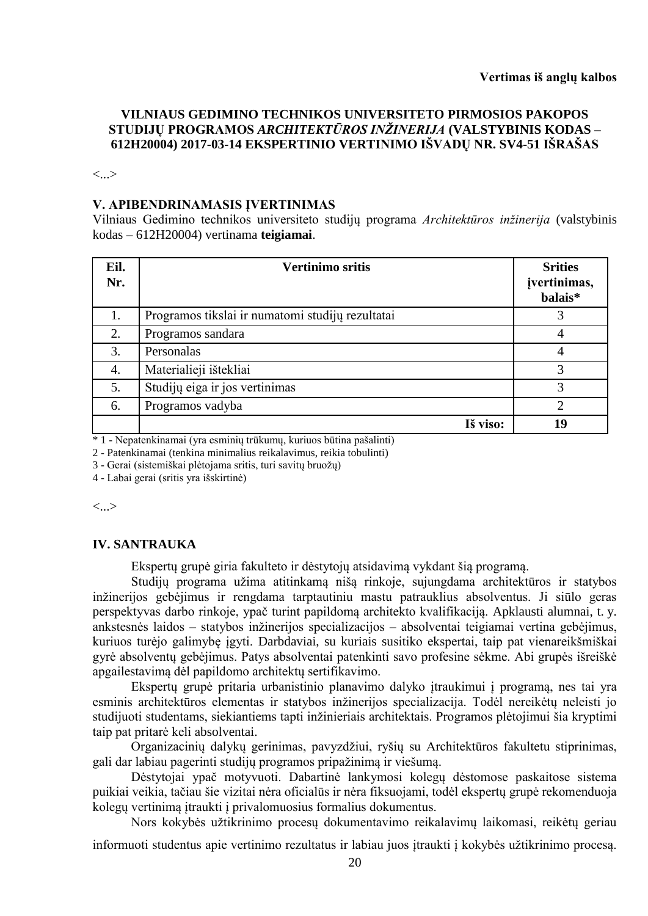## **VILNIAUS GEDIMINO TECHNIKOS UNIVERSITETO PIRMOSIOS PAKOPOS STUDIJŲ PROGRAMOS** *ARCHITEKTŪROS INŽINERIJA* **(VALSTYBINIS KODAS – 612H20004) 2017-03-14 EKSPERTINIO VERTINIMO IŠVADŲ NR. SV4-51 IŠRAŠAS**

<...>

#### **V. APIBENDRINAMASIS ĮVERTINIMAS**

Vilniaus Gedimino technikos universiteto studijų programa *Architektūros inžinerija* (valstybinis kodas – 612H20004) vertinama **teigiamai**.

| Eil.<br>Nr. | <b>Vertinimo sritis</b>                          | <b>Srities</b><br>jvertinimas,<br>balais* |
|-------------|--------------------------------------------------|-------------------------------------------|
| 1.          | Programos tikslai ir numatomi studijų rezultatai | 3                                         |
| 2.          | Programos sandara                                | 4                                         |
| 3.          | Personalas                                       | 4                                         |
| 4.          | Materialieji ištekliai                           | 3                                         |
| 5.          | Studijų eiga ir jos vertinimas                   | 3                                         |
| 6.          | Programos vadyba                                 | ↑                                         |
|             | Iš viso:                                         | 19                                        |

\* 1 - Nepatenkinamai (yra esminių trūkumų, kuriuos būtina pašalinti)

2 - Patenkinamai (tenkina minimalius reikalavimus, reikia tobulinti)

3 - Gerai (sistemiškai plėtojama sritis, turi savitų bruožų)

4 - Labai gerai (sritis yra išskirtinė)

<...>

#### **IV. SANTRAUKA**

Ekspertų grupė giria fakulteto ir dėstytojų atsidavimą vykdant šią programą.

Studijų programa užima atitinkamą nišą rinkoje, sujungdama architektūros ir statybos inžinerijos gebėjimus ir rengdama tarptautiniu mastu patrauklius absolventus. Ji siūlo geras perspektyvas darbo rinkoje, ypač turint papildomą architekto kvalifikaciją. Apklausti alumnai, t. y. ankstesnės laidos – statybos inžinerijos specializacijos – absolventai teigiamai vertina gebėjimus, kuriuos turėjo galimybę įgyti. Darbdaviai, su kuriais susitiko ekspertai, taip pat vienareikšmiškai gyrė absolventų gebėjimus. Patys absolventai patenkinti savo profesine sėkme. Abi grupės išreiškė apgailestavimą dėl papildomo architektų sertifikavimo.

Ekspertų grupė pritaria urbanistinio planavimo dalyko įtraukimui į programą, nes tai yra esminis architektūros elementas ir statybos inžinerijos specializacija. Todėl nereikėtų neleisti jo studijuoti studentams, siekiantiems tapti inžinieriais architektais. Programos plėtojimui šia kryptimi taip pat pritarė keli absolventai.

Organizacinių dalykų gerinimas, pavyzdžiui, ryšių su Architektūros fakultetu stiprinimas, gali dar labiau pagerinti studijų programos pripažinimą ir viešumą.

Dėstytojai ypač motyvuoti. Dabartinė lankymosi kolegų dėstomose paskaitose sistema puikiai veikia, tačiau šie vizitai nėra oficialūs ir nėra fiksuojami, todėl ekspertų grupė rekomenduoja kolegų vertinimą įtraukti į privalomuosius formalius dokumentus.

Nors kokybės užtikrinimo procesų dokumentavimo reikalavimų laikomasi, reikėtų geriau

informuoti studentus apie vertinimo rezultatus ir labiau juos įtraukti į kokybės užtikrinimo procesą.